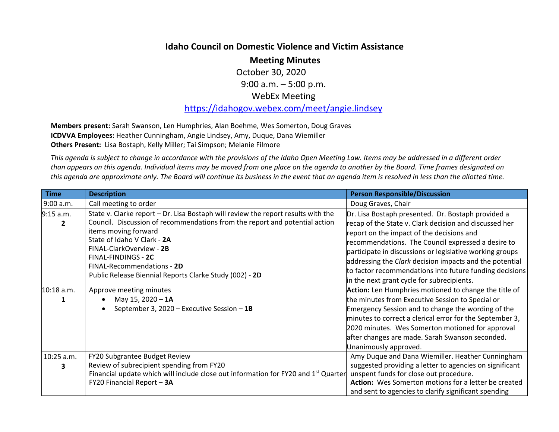## **Idaho Council on Domestic Violence and Victim Assistance**

**Meeting Minutes**

October 30, 2020 9:00 a.m. – 5:00 p.m.

## WebEx Meeting

https://idahogov.webex.com/meet/angie.lindsey

**Members present:** Sarah Swanson, Len Humphries, Alan Boehme, Wes Somerton, Doug Graves **ICDVVA Employees:** Heather Cunningham, Angie Lindsey, Amy, Duque, Dana Wiemiller **Others Present:** Lisa Bostaph, Kelly Miller; Tai Simpson; Melanie Filmore

This agenda is subject to change in accordance with the provisions of the Idaho Open Meeting Law. Items may be addressed in a different order than appears on this agenda. Individual items may be moved from one place on the agenda to another by the Board. Time frames designated on this agenda are approximate only. The Board will continue its business in the event that an agenda item is resolved in less than the allotted time.

| <b>Time</b>                 | <b>Description</b>                                                                                                                                                                                                                                                                                       | <b>Person Responsible/Discussion</b>                                                                                                                                                                                                                                                                                                                        |
|-----------------------------|----------------------------------------------------------------------------------------------------------------------------------------------------------------------------------------------------------------------------------------------------------------------------------------------------------|-------------------------------------------------------------------------------------------------------------------------------------------------------------------------------------------------------------------------------------------------------------------------------------------------------------------------------------------------------------|
| 9:00 a.m.                   | Call meeting to order                                                                                                                                                                                                                                                                                    | Doug Graves, Chair                                                                                                                                                                                                                                                                                                                                          |
| 9:15 a.m.<br>$\overline{2}$ | State v. Clarke report - Dr. Lisa Bostaph will review the report results with the<br>Council. Discussion of recommendations from the report and potential action<br>items moving forward<br>State of Idaho V Clark - 2A<br>FINAL-ClarkOverview - 2B<br>FINAL-FINDINGS - 2C<br>FINAL-Recommendations - 2D | Dr. Lisa Bostaph presented. Dr. Bostaph provided a<br>recap of the State v. Clark decision and discussed her<br>report on the impact of the decisions and<br>recommendations. The Council expressed a desire to<br>participate in discussions or legislative working groups<br>addressing the Clark decision impacts and the potential                      |
|                             | Public Release Biennial Reports Clarke Study (002) - 2D                                                                                                                                                                                                                                                  | to factor recommendations into future funding decisions<br>in the next grant cycle for subrecipients.                                                                                                                                                                                                                                                       |
| 10:18 a.m.                  | Approve meeting minutes<br>May 15, 2020 - 1A<br>September 3, 2020 - Executive Session - 1B                                                                                                                                                                                                               | Action: Len Humphries motioned to change the title of<br>the minutes from Executive Session to Special or<br>Emergency Session and to change the wording of the<br>minutes to correct a clerical error for the September 3,<br>2020 minutes. Wes Somerton motioned for approval<br>after changes are made. Sarah Swanson seconded.<br>Unanimously approved. |
| 10:25 a.m.<br>3             | FY20 Subgrantee Budget Review<br>Review of subrecipient spending from FY20<br>Financial update which will include close out information for FY20 and 1 <sup>st</sup> Quarter<br>FY20 Financial Report - 3A                                                                                               | Amy Duque and Dana Wiemiller. Heather Cunningham<br>suggested providing a letter to agencies on significant<br>unspent funds for close out procedure.<br>Action: Wes Somerton motions for a letter be created<br>and sent to agencies to clarify significant spending                                                                                       |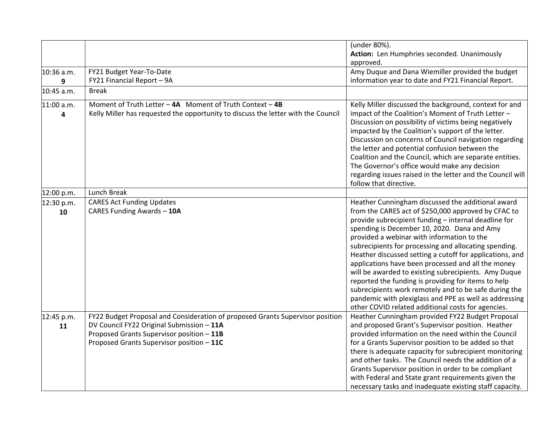|            |                                                                                   | (under 80%).                                               |
|------------|-----------------------------------------------------------------------------------|------------------------------------------------------------|
|            |                                                                                   | Action: Len Humphries seconded. Unanimously                |
|            |                                                                                   | approved.                                                  |
| 10:36 a.m. | FY21 Budget Year-To-Date                                                          | Amy Duque and Dana Wiemiller provided the budget           |
| 9          | FY21 Financial Report - 9A                                                        | information year to date and FY21 Financial Report.        |
| 10:45 a.m. | <b>Break</b>                                                                      |                                                            |
| 11:00 a.m. | Moment of Truth Letter - 4A Moment of Truth Context - 4B                          | Kelly Miller discussed the background, context for and     |
| 4          | Kelly Miller has requested the opportunity to discuss the letter with the Council | impact of the Coalition's Moment of Truth Letter -         |
|            |                                                                                   | Discussion on possibility of victims being negatively      |
|            |                                                                                   | impacted by the Coalition's support of the letter.         |
|            |                                                                                   | Discussion on concerns of Council navigation regarding     |
|            |                                                                                   | the letter and potential confusion between the             |
|            |                                                                                   | Coalition and the Council, which are separate entities.    |
|            |                                                                                   | The Governor's office would make any decision              |
|            |                                                                                   | regarding issues raised in the letter and the Council will |
|            |                                                                                   | follow that directive.                                     |
| 12:00 p.m. | Lunch Break                                                                       |                                                            |
| 12:30 p.m. | <b>CARES Act Funding Updates</b>                                                  | Heather Cunningham discussed the additional award          |
| 10         | CARES Funding Awards - 10A                                                        | from the CARES act of \$250,000 approved by CFAC to        |
|            |                                                                                   | provide subrecipient funding - internal deadline for       |
|            |                                                                                   | spending is December 10, 2020. Dana and Amy                |
|            |                                                                                   | provided a webinar with information to the                 |
|            |                                                                                   | subrecipients for processing and allocating spending.      |
|            |                                                                                   | Heather discussed setting a cutoff for applications, and   |
|            |                                                                                   | applications have been processed and all the money         |
|            |                                                                                   | will be awarded to existing subrecipients. Amy Duque       |
|            |                                                                                   | reported the funding is providing for items to help        |
|            |                                                                                   | subrecipients work remotely and to be safe during the      |
|            |                                                                                   | pandemic with plexiglass and PPE as well as addressing     |
|            |                                                                                   | other COVID related additional costs for agencies.         |
| 12:45 p.m. | FY22 Budget Proposal and Consideration of proposed Grants Supervisor position     | Heather Cunningham provided FY22 Budget Proposal           |
| 11         | DV Council FY22 Original Submission - 11A                                         | and proposed Grant's Supervisor position. Heather          |
|            | Proposed Grants Supervisor position - 11B                                         | provided information on the need within the Council        |
|            | Proposed Grants Supervisor position - 11C                                         | for a Grants Supervisor position to be added so that       |
|            |                                                                                   | there is adequate capacity for subrecipient monitoring     |
|            |                                                                                   | and other tasks. The Council needs the addition of a       |
|            |                                                                                   | Grants Supervisor position in order to be compliant        |
|            |                                                                                   | with Federal and State grant requirements given the        |
|            |                                                                                   | necessary tasks and inadequate existing staff capacity.    |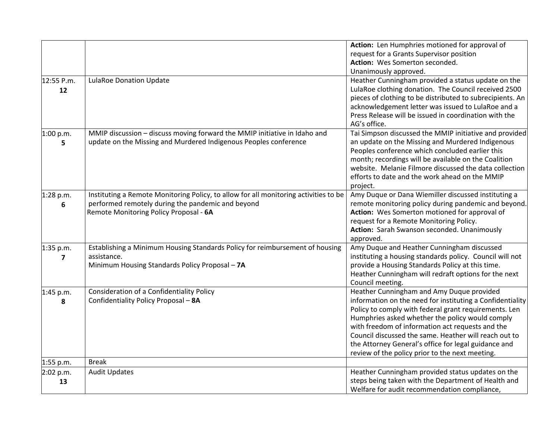|                         |                                                                                      | Action: Len Humphries motioned for approval of                |
|-------------------------|--------------------------------------------------------------------------------------|---------------------------------------------------------------|
|                         |                                                                                      | request for a Grants Supervisor position                      |
|                         |                                                                                      | Action: Wes Somerton seconded.                                |
|                         |                                                                                      | Unanimously approved.                                         |
| 12:55 P.m.              | <b>LulaRoe Donation Update</b>                                                       | Heather Cunningham provided a status update on the            |
| 12                      |                                                                                      | LulaRoe clothing donation. The Council received 2500          |
|                         |                                                                                      | pieces of clothing to be distributed to subrecipients. An     |
|                         |                                                                                      | acknowledgement letter was issued to LulaRoe and a            |
|                         |                                                                                      | Press Release will be issued in coordination with the         |
|                         |                                                                                      | AG's office.                                                  |
| 1:00 p.m.               | MMIP discussion - discuss moving forward the MMIP initiative in Idaho and            | Tai Simpson discussed the MMIP initiative and provided        |
| 5                       | update on the Missing and Murdered Indigenous Peoples conference                     | an update on the Missing and Murdered Indigenous              |
|                         |                                                                                      | Peoples conference which concluded earlier this               |
|                         |                                                                                      | month; recordings will be available on the Coalition          |
|                         |                                                                                      | website. Melanie Filmore discussed the data collection        |
|                         |                                                                                      | efforts to date and the work ahead on the MMIP                |
|                         |                                                                                      | project.                                                      |
| 1:28 p.m.               | Instituting a Remote Monitoring Policy, to allow for all monitoring activities to be | Amy Duque or Dana Wiemiller discussed instituting a           |
| 6                       | performed remotely during the pandemic and beyond                                    | remote monitoring policy during pandemic and beyond.          |
|                         | Remote Monitoring Policy Proposal - 6A                                               | Action: Wes Somerton motioned for approval of                 |
|                         |                                                                                      | request for a Remote Monitoring Policy.                       |
|                         |                                                                                      | Action: Sarah Swanson seconded. Unanimously                   |
|                         |                                                                                      | approved.                                                     |
| 1:35 p.m.               | Establishing a Minimum Housing Standards Policy for reimbursement of housing         | Amy Duque and Heather Cunningham discussed                    |
| $\overline{\mathbf{z}}$ | assistance.                                                                          | instituting a housing standards policy. Council will not      |
|                         | Minimum Housing Standards Policy Proposal - 7A                                       | provide a Housing Standards Policy at this time.              |
|                         |                                                                                      | Heather Cunningham will redraft options for the next          |
|                         |                                                                                      | Council meeting.<br>Heather Cunningham and Amy Duque provided |
| 1:45 p.m.               | Consideration of a Confidentiality Policy<br>Confidentiality Policy Proposal - 8A    | information on the need for instituting a Confidentiality     |
| 8                       |                                                                                      | Policy to comply with federal grant requirements. Len         |
|                         |                                                                                      | Humphries asked whether the policy would comply               |
|                         |                                                                                      | with freedom of information act requests and the              |
|                         |                                                                                      | Council discussed the same. Heather will reach out to         |
|                         |                                                                                      | the Attorney General's office for legal guidance and          |
|                         |                                                                                      | review of the policy prior to the next meeting.               |
| 1:55 p.m.               | <b>Break</b>                                                                         |                                                               |
| 2:02 p.m.               | <b>Audit Updates</b>                                                                 | Heather Cunningham provided status updates on the             |
| 13                      |                                                                                      | steps being taken with the Department of Health and           |
|                         |                                                                                      | Welfare for audit recommendation compliance,                  |